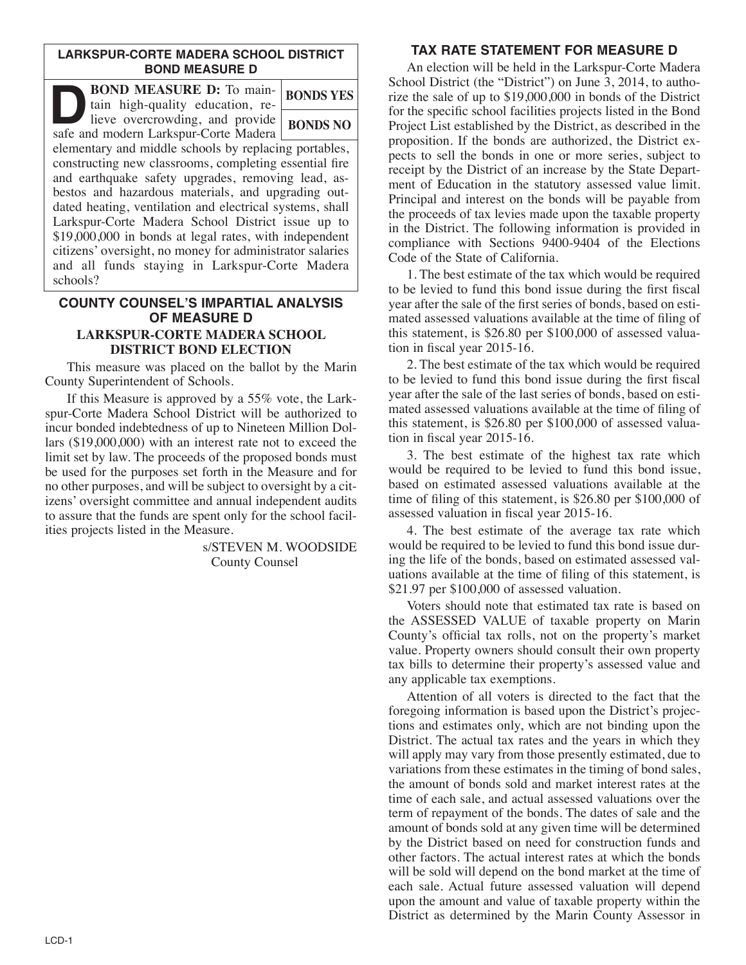### **LARKSPUR-CORTE MADERA SCHOOL DISTRICT BOND MEASURE D**

| <b>BOND MEASURE D:</b> To main-<br>tain high-quality education, re-                                                                                                                                                                                                                                                                                                                                                                                                                                                  | <b>BONDS YES</b> |
|----------------------------------------------------------------------------------------------------------------------------------------------------------------------------------------------------------------------------------------------------------------------------------------------------------------------------------------------------------------------------------------------------------------------------------------------------------------------------------------------------------------------|------------------|
| lieve overcrowding, and provide<br>safe and modern Larkspur-Corte Madera                                                                                                                                                                                                                                                                                                                                                                                                                                             | <b>BONDS NO</b>  |
| elementary and middle schools by replacing portables,<br>constructing new classrooms, completing essential fire<br>and earthquake safety upgrades, removing lead, as-<br>bestos and hazardous materials, and upgrading out-<br>dated heating, ventilation and electrical systems, shall<br>Larkspur-Corte Madera School District issue up to<br>\$19,000,000 in bonds at legal rates, with independent<br>citizens' oversight, no money for administrator salaries<br>and all funds staying in Larkspur-Corte Madera |                  |

### **COUNTY COUNSEL'S IMPARTIAL ANALYSIS OF MEASURE D LARKSPUR-CORTE MADERA SCHOOL DISTRICT BOND ELECTION**

 This measure was placed on the ballot by the Marin County Superintendent of Schools.

 If this Measure is approved by a 55% vote, the Larkspur-Corte Madera School District will be authorized to incur bonded indebtedness of up to Nineteen Million Dollars (\$19,000,000) with an interest rate not to exceed the limit set by law. The proceeds of the proposed bonds must be used for the purposes set forth in the Measure and for no other purposes, and will be subject to oversight by a citizens' oversight committee and annual independent audits to assure that the funds are spent only for the school facilities projects listed in the Measure.

> s/STEVEN M. WOODSIDE County Counsel

# **TAX RATE STATEMENT FOR MEASURE D**

 An election will be held in the Larkspur-Corte Madera School District (the "District") on June 3, 2014, to authorize the sale of up to \$19,000,000 in bonds of the District for the specific school facilities projects listed in the Bond Project List established by the District, as described in the proposition. If the bonds are authorized, the District expects to sell the bonds in one or more series, subject to receipt by the District of an increase by the State Department of Education in the statutory assessed value limit. Principal and interest on the bonds will be payable from the proceeds of tax levies made upon the taxable property in the District. The following information is provided in compliance with Sections 9400-9404 of the Elections Code of the State of California.

 1. The best estimate of the tax which would be required to be levied to fund this bond issue during the first fiscal year after the sale of the first series of bonds, based on estimated assessed valuations available at the time of filing of this statement, is \$26.80 per \$100,000 of assessed valuation in fiscal year 2015-16.

 2. The best estimate of the tax which would be required to be levied to fund this bond issue during the first fiscal year after the sale of the last series of bonds, based on estimated assessed valuations available at the time of filing of this statement, is \$26.80 per \$100,000 of assessed valuation in fiscal year 2015-16.

 3. The best estimate of the highest tax rate which would be required to be levied to fund this bond issue, based on estimated assessed valuations available at the time of filing of this statement, is \$26.80 per \$100,000 of assessed valuation in fiscal year 2015-16.

 4. The best estimate of the average tax rate which would be required to be levied to fund this bond issue during the life of the bonds, based on estimated assessed valuations available at the time of filing of this statement, is \$21.97 per \$100,000 of assessed valuation.

 Voters should note that estimated tax rate is based on the ASSESSED VALUE of taxable property on Marin County's official tax rolls, not on the property's market value. Property owners should consult their own property tax bills to determine their property's assessed value and any applicable tax exemptions.

 Attention of all voters is directed to the fact that the foregoing information is based upon the District's projections and estimates only, which are not binding upon the District. The actual tax rates and the years in which they will apply may vary from those presently estimated, due to variations from these estimates in the timing of bond sales, the amount of bonds sold and market interest rates at the time of each sale, and actual assessed valuations over the term of repayment of the bonds. The dates of sale and the amount of bonds sold at any given time will be determined by the District based on need for construction funds and other factors. The actual interest rates at which the bonds will be sold will depend on the bond market at the time of each sale. Actual future assessed valuation will depend upon the amount and value of taxable property within the District as determined by the Marin County Assessor in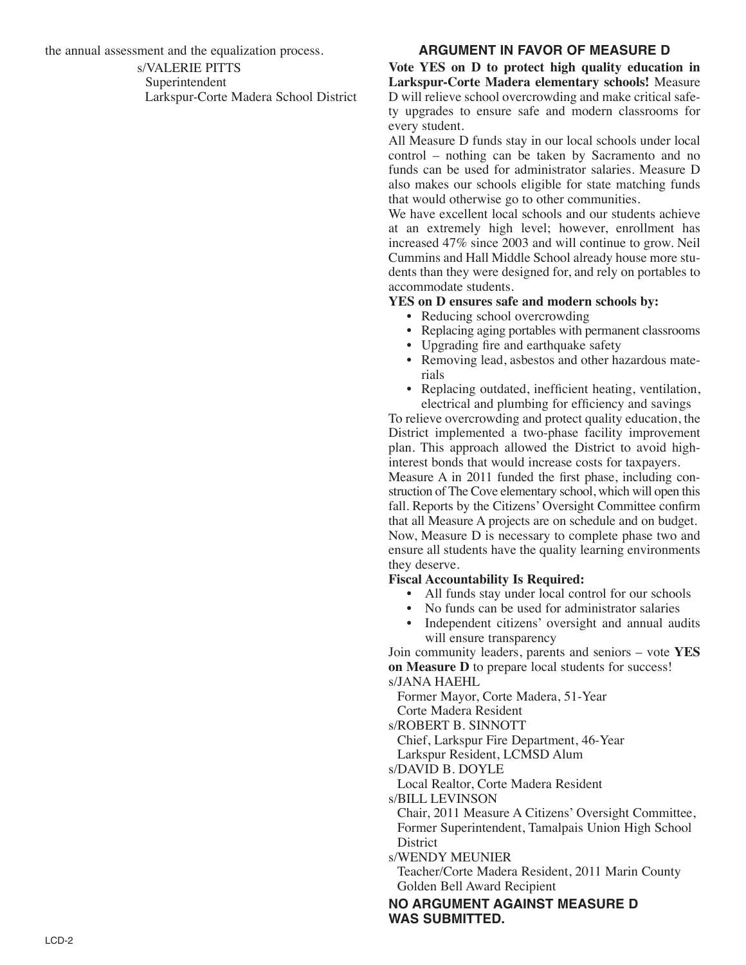the annual assessment and the equalization process.

s/VALERIE PITTS Superintendent Larkspur-Corte Madera School District

## **ARGUMENT IN FAVOR OF MEASURE D**

**Vote YES on D to protect high quality education in Larkspur-Corte Madera elementary schools!** Measure D will relieve school overcrowding and make critical safety upgrades to ensure safe and modern classrooms for every student.

All Measure D funds stay in our local schools under local control – nothing can be taken by Sacramento and no funds can be used for administrator salaries. Measure D also makes our schools eligible for state matching funds that would otherwise go to other communities.

We have excellent local schools and our students achieve at an extremely high level; however, enrollment has increased 47% since 2003 and will continue to grow. Neil Cummins and Hall Middle School already house more students than they were designed for, and rely on portables to accommodate students.

#### **YES on D ensures safe and modern schools by:**

- Reducing school overcrowding
- Replacing aging portables with permanent classrooms
- Upgrading fire and earthquake safety
- Removing lead, asbestos and other hazardous materials
- Replacing outdated, inefficient heating, ventilation, electrical and plumbing for efficiency and savings

To relieve overcrowding and protect quality education, the District implemented a two-phase facility improvement plan. This approach allowed the District to avoid highinterest bonds that would increase costs for taxpayers.

Measure A in 2011 funded the first phase, including construction of The Cove elementary school, which will open this fall. Reports by the Citizens' Oversight Committee confirm that all Measure A projects are on schedule and on budget. Now, Measure D is necessary to complete phase two and ensure all students have the quality learning environments they deserve.

### **Fiscal Accountability Is Required:**

- All funds stay under local control for our schools
- No funds can be used for administrator salaries
- Independent citizens' oversight and annual audits will ensure transparency

Join community leaders, parents and seniors – vote **YES on Measure D** to prepare local students for success! s/JANA HAEHL

Former Mayor, Corte Madera, 51-Year

Corte Madera Resident

s/ROBERT B. SINNOTT

Chief, Larkspur Fire Department, 46-Year

Larkspur Resident, LCMSD Alum

s/DAVID B. DOYLE

Local Realtor, Corte Madera Resident

s/BILL LEVINSON

Chair, 2011 Measure A Citizens' Oversight Committee, Former Superintendent, Tamalpais Union High School **District** 

s/WENDY MEUNIER

Teacher/Corte Madera Resident, 2011 Marin County Golden Bell Award Recipient

### **NO ARGUMENT AGAINST MEASURE D WAS SUBMITTED.**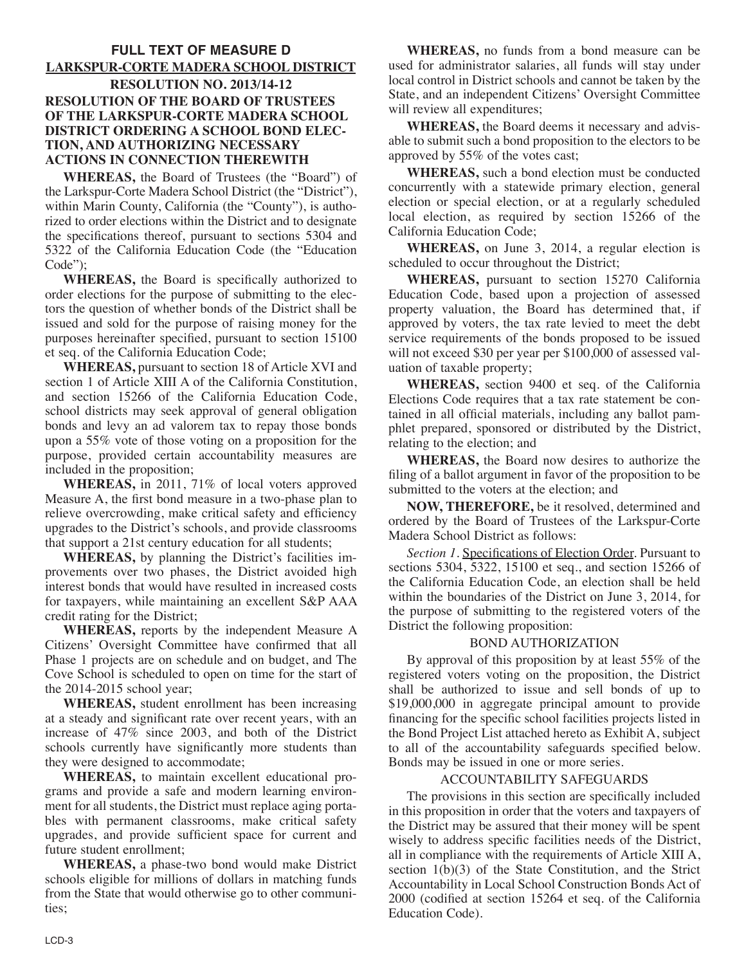### **FULL TEXT OF MEASURE D LARKSPUR-CORTE MADERA SCHOOL DISTRICT RESOLUTION NO. 2013/14-12 RESOLUTION OF THE BOARD OF TRUSTEES OF THE LARKSPUR-CORTE MADERA SCHOOL DISTRICT ORDERING A SCHOOL BOND ELEC-TION, AND AUTHORIZING NECESSARY ACTIONS IN CONNECTION THEREWITH**

**WHEREAS,** the Board of Trustees (the "Board") of the Larkspur-Corte Madera School District (the "District"), within Marin County, California (the "County"), is authorized to order elections within the District and to designate the specifications thereof, pursuant to sections 5304 and 5322 of the California Education Code (the "Education Code");

**WHEREAS,** the Board is specifically authorized to order elections for the purpose of submitting to the electors the question of whether bonds of the District shall be issued and sold for the purpose of raising money for the purposes hereinafter specified, pursuant to section 15100 et seq. of the California Education Code;

**WHEREAS,** pursuant to section 18 of Article XVI and section 1 of Article XIII A of the California Constitution, and section 15266 of the California Education Code, school districts may seek approval of general obligation bonds and levy an ad valorem tax to repay those bonds upon a 55% vote of those voting on a proposition for the purpose, provided certain accountability measures are included in the proposition;

**WHEREAS,** in 2011, 71% of local voters approved Measure A, the first bond measure in a two-phase plan to relieve overcrowding, make critical safety and efficiency upgrades to the District's schools, and provide classrooms that support a 21st century education for all students;

**WHEREAS,** by planning the District's facilities improvements over two phases, the District avoided high interest bonds that would have resulted in increased costs for taxpayers, while maintaining an excellent S&P AAA credit rating for the District;

**WHEREAS,** reports by the independent Measure A Citizens' Oversight Committee have confirmed that all Phase 1 projects are on schedule and on budget, and The Cove School is scheduled to open on time for the start of the 2014-2015 school year;

**WHEREAS,** student enrollment has been increasing at a steady and significant rate over recent years, with an increase of 47% since 2003, and both of the District schools currently have significantly more students than they were designed to accommodate;

**WHEREAS,** to maintain excellent educational programs and provide a safe and modern learning environment for all students, the District must replace aging portables with permanent classrooms, make critical safety upgrades, and provide sufficient space for current and future student enrollment;

**WHEREAS,** a phase-two bond would make District schools eligible for millions of dollars in matching funds from the State that would otherwise go to other communities;

**WHEREAS,** no funds from a bond measure can be used for administrator salaries, all funds will stay under local control in District schools and cannot be taken by the State, and an independent Citizens' Oversight Committee will review all expenditures;

**WHEREAS,** the Board deems it necessary and advisable to submit such a bond proposition to the electors to be approved by 55% of the votes cast;

**WHEREAS,** such a bond election must be conducted concurrently with a statewide primary election, general election or special election, or at a regularly scheduled local election, as required by section 15266 of the California Education Code;

**WHEREAS,** on June 3, 2014, a regular election is scheduled to occur throughout the District;

**WHEREAS,** pursuant to section 15270 California Education Code, based upon a projection of assessed property valuation, the Board has determined that, if approved by voters, the tax rate levied to meet the debt service requirements of the bonds proposed to be issued will not exceed \$30 per year per \$100,000 of assessed valuation of taxable property;

**WHEREAS,** section 9400 et seq. of the California Elections Code requires that a tax rate statement be contained in all official materials, including any ballot pamphlet prepared, sponsored or distributed by the District, relating to the election; and

**WHEREAS,** the Board now desires to authorize the filing of a ballot argument in favor of the proposition to be submitted to the voters at the election; and

**NOW, THEREFORE,** be it resolved, determined and ordered by the Board of Trustees of the Larkspur-Corte Madera School District as follows:

*Section 1.* Specifications of Election Order. Pursuant to sections 5304, 5322, 15100 et seq., and section 15266 of the California Education Code, an election shall be held within the boundaries of the District on June 3, 2014, for the purpose of submitting to the registered voters of the District the following proposition:

### BOND AUTHORIZATION

By approval of this proposition by at least 55% of the registered voters voting on the proposition, the District shall be authorized to issue and sell bonds of up to \$19,000,000 in aggregate principal amount to provide financing for the specific school facilities projects listed in the Bond Project List attached hereto as Exhibit A, subject to all of the accountability safeguards specified below. Bonds may be issued in one or more series.

#### ACCOUNTABILITY SAFEGUARDS

The provisions in this section are specifically included in this proposition in order that the voters and taxpayers of the District may be assured that their money will be spent wisely to address specific facilities needs of the District, all in compliance with the requirements of Article XIII A, section 1(b)(3) of the State Constitution, and the Strict Accountability in Local School Construction Bonds Act of 2000 (codified at section 15264 et seq. of the California Education Code).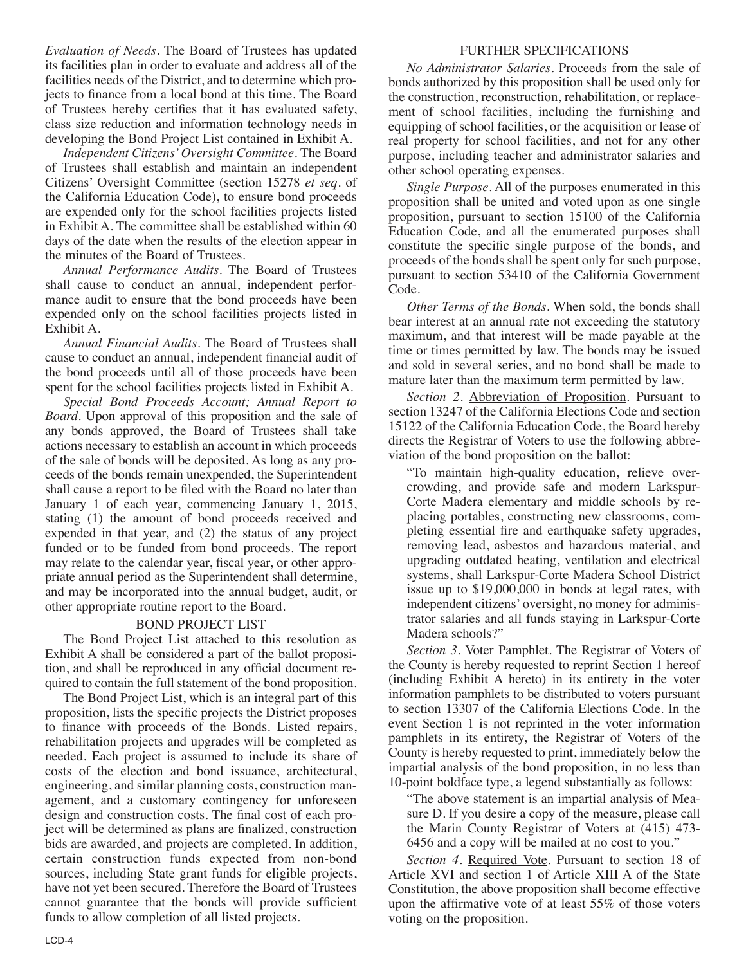*Evaluation of Needs*. The Board of Trustees has updated its facilities plan in order to evaluate and address all of the facilities needs of the District, and to determine which projects to finance from a local bond at this time. The Board of Trustees hereby certifies that it has evaluated safety, class size reduction and information technology needs in developing the Bond Project List contained in Exhibit A.

*Independent Citizens'Oversight Committee*. The Board of Trustees shall establish and maintain an independent Citizens' Oversight Committee (section 15278 *et seq*. of the California Education Code), to ensure bond proceeds are expended only for the school facilities projects listed in Exhibit A. The committee shall be established within 60 days of the date when the results of the election appear in the minutes of the Board of Trustees.

*Annual Performance Audits*. The Board of Trustees shall cause to conduct an annual, independent performance audit to ensure that the bond proceeds have been expended only on the school facilities projects listed in Exhibit A.

*Annual Financial Audits*. The Board of Trustees shall cause to conduct an annual, independent financial audit of the bond proceeds until all of those proceeds have been spent for the school facilities projects listed in Exhibit A.

*Special Bond Proceeds Account; Annual Report to Board*. Upon approval of this proposition and the sale of any bonds approved, the Board of Trustees shall take actions necessary to establish an account in which proceeds of the sale of bonds will be deposited. As long as any proceeds of the bonds remain unexpended, the Superintendent shall cause a report to be filed with the Board no later than January 1 of each year, commencing January 1, 2015, stating (1) the amount of bond proceeds received and expended in that year, and (2) the status of any project funded or to be funded from bond proceeds. The report may relate to the calendar year, fiscal year, or other appropriate annual period as the Superintendent shall determine, and may be incorporated into the annual budget, audit, or other appropriate routine report to the Board.

### BOND PROJECT LIST

The Bond Project List attached to this resolution as Exhibit A shall be considered a part of the ballot proposition, and shall be reproduced in any official document required to contain the full statement of the bond proposition.

The Bond Project List, which is an integral part of this proposition, lists the specific projects the District proposes to finance with proceeds of the Bonds. Listed repairs, rehabilitation projects and upgrades will be completed as needed. Each project is assumed to include its share of costs of the election and bond issuance, architectural, engineering, and similar planning costs, construction management, and a customary contingency for unforeseen design and construction costs. The final cost of each project will be determined as plans are finalized, construction bids are awarded, and projects are completed. In addition, certain construction funds expected from non-bond sources, including State grant funds for eligible projects, have not yet been secured. Therefore the Board of Trustees cannot guarantee that the bonds will provide sufficient funds to allow completion of all listed projects.

### FURTHER SPECIFICATIONS

*No Administrator Salaries*. Proceeds from the sale of bonds authorized by this proposition shall be used only for the construction, reconstruction, rehabilitation, or replacement of school facilities, including the furnishing and equipping of school facilities, or the acquisition or lease of real property for school facilities, and not for any other purpose, including teacher and administrator salaries and other school operating expenses.

*Single Purpose*. All of the purposes enumerated in this proposition shall be united and voted upon as one single proposition, pursuant to section 15100 of the California Education Code, and all the enumerated purposes shall constitute the specific single purpose of the bonds, and proceeds of the bonds shall be spent only for such purpose, pursuant to section 53410 of the California Government Code.

*Other Terms of the Bonds*. When sold, the bonds shall bear interest at an annual rate not exceeding the statutory maximum, and that interest will be made payable at the time or times permitted by law. The bonds may be issued and sold in several series, and no bond shall be made to mature later than the maximum term permitted by law.

*Section 2*. Abbreviation of Proposition. Pursuant to section 13247 of the California Elections Code and section 15122 of the California Education Code, the Board hereby directs the Registrar of Voters to use the following abbreviation of the bond proposition on the ballot:

"To maintain high-quality education, relieve overcrowding, and provide safe and modern Larkspur-Corte Madera elementary and middle schools by replacing portables, constructing new classrooms, completing essential fire and earthquake safety upgrades, removing lead, asbestos and hazardous material, and upgrading outdated heating, ventilation and electrical systems, shall Larkspur-Corte Madera School District issue up to \$19,000,000 in bonds at legal rates, with independent citizens' oversight, no money for administrator salaries and all funds staying in Larkspur-Corte Madera schools?"

*Section 3*. Voter Pamphlet. The Registrar of Voters of the County is hereby requested to reprint Section 1 hereof (including Exhibit A hereto) in its entirety in the voter information pamphlets to be distributed to voters pursuant to section 13307 of the California Elections Code. In the event Section 1 is not reprinted in the voter information pamphlets in its entirety, the Registrar of Voters of the County is hereby requested to print, immediately below the impartial analysis of the bond proposition, in no less than 10-point boldface type, a legend substantially as follows:

"The above statement is an impartial analysis of Measure D. If you desire a copy of the measure, please call the Marin County Registrar of Voters at (415) 473- 6456 and a copy will be mailed at no cost to you."

*Section 4*. Required Vote. Pursuant to section 18 of Article XVI and section 1 of Article XIII A of the State Constitution, the above proposition shall become effective upon the affirmative vote of at least 55% of those voters voting on the proposition.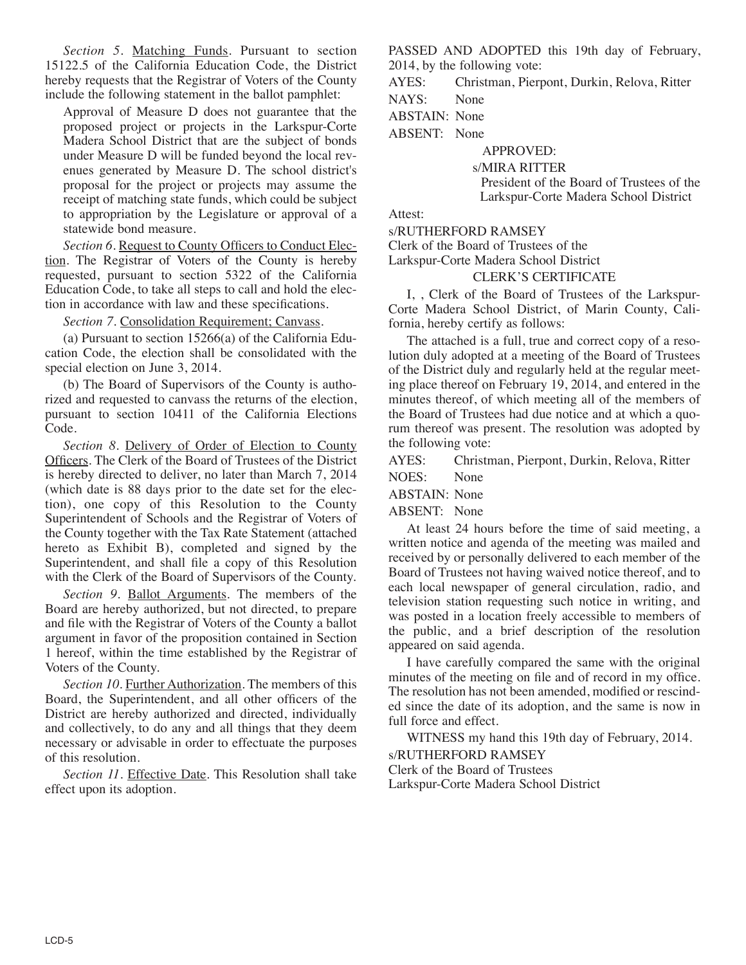*Section 5*. Matching Funds. Pursuant to section 15122.5 of the California Education Code, the District hereby requests that the Registrar of Voters of the County include the following statement in the ballot pamphlet:

Approval of Measure D does not guarantee that the proposed project or projects in the Larkspur-Corte Madera School District that are the subject of bonds under Measure D will be funded beyond the local revenues generated by Measure D. The school district's proposal for the project or projects may assume the receipt of matching state funds, which could be subject to appropriation by the Legislature or approval of a statewide bond measure.

*Section 6.* Request to County Officers to Conduct Election. The Registrar of Voters of the County is hereby requested, pursuant to section 5322 of the California Education Code, to take all steps to call and hold the election in accordance with law and these specifications.

*Section 7*. Consolidation Requirement; Canvass.

(a) Pursuant to section 15266(a) of the California Education Code, the election shall be consolidated with the special election on June 3, 2014.

(b) The Board of Supervisors of the County is authorized and requested to canvass the returns of the election, pursuant to section 10411 of the California Elections Code.

*Section 8*. Delivery of Order of Election to County Officers. The Clerk of the Board of Trustees of the District is hereby directed to deliver, no later than March 7, 2014 (which date is 88 days prior to the date set for the election), one copy of this Resolution to the County Superintendent of Schools and the Registrar of Voters of the County together with the Tax Rate Statement (attached hereto as Exhibit B), completed and signed by the Superintendent, and shall file a copy of this Resolution with the Clerk of the Board of Supervisors of the County.

*Section 9*. Ballot Arguments. The members of the Board are hereby authorized, but not directed, to prepare and file with the Registrar of Voters of the County a ballot argument in favor of the proposition contained in Section 1 hereof, within the time established by the Registrar of Voters of the County.

*Section 10*. Further Authorization. The members of this Board, the Superintendent, and all other officers of the District are hereby authorized and directed, individually and collectively, to do any and all things that they deem necessary or advisable in order to effectuate the purposes of this resolution.

*Section 11*. Effective Date. This Resolution shall take effect upon its adoption.

PASSED AND ADOPTED this 19th day of February, 2014, by the following vote:

AYES: Christman, Pierpont, Durkin, Relova, Ritter

NAYS: None

ABSTAIN: None

ABSENT: None

APPROVED:

s/MIRA RITTER

President of the Board of Trustees of the Larkspur-Corte Madera School District

Attest:

s/RUTHERFORD RAMSEY

Clerk of the Board of Trustees of the

Larkspur-Corte Madera School District

CLERK'S CERTIFICATE

I, , Clerk of the Board of Trustees of the Larkspur-Corte Madera School District, of Marin County, California, hereby certify as follows:

The attached is a full, true and correct copy of a resolution duly adopted at a meeting of the Board of Trustees of the District duly and regularly held at the regular meeting place thereof on February 19, 2014, and entered in the minutes thereof, of which meeting all of the members of the Board of Trustees had due notice and at which a quorum thereof was present. The resolution was adopted by the following vote:

AYES: Christman, Pierpont, Durkin, Relova, Ritter

NOES: None

ABSTAIN: None

ABSENT: None

At least 24 hours before the time of said meeting, a written notice and agenda of the meeting was mailed and received by or personally delivered to each member of the Board of Trustees not having waived notice thereof, and to each local newspaper of general circulation, radio, and television station requesting such notice in writing, and was posted in a location freely accessible to members of the public, and a brief description of the resolution appeared on said agenda.

I have carefully compared the same with the original minutes of the meeting on file and of record in my office. The resolution has not been amended, modified or rescinded since the date of its adoption, and the same is now in full force and effect.

WITNESS my hand this 19th day of February, 2014. s/RUTHERFORD RAMSEY Clerk of the Board of Trustees Larkspur-Corte Madera School District